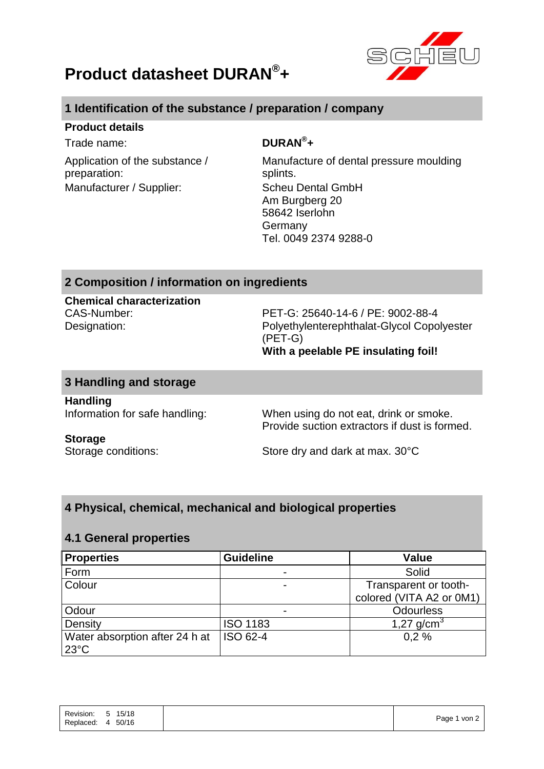



# **1 Identification of the substance / preparation / company**

### **Product details**

 $T$ rade name:

Application of the substance / preparation: Manufacturer / Supplier: Scheu Dental GmbH

# DURAN<sup>®</sup>+

Manufacture of dental pressure moulding splints. Am Burgberg 20 58642 Iserlohn Germany Tel. 0049 2374 9288-0

### **2 Composition / information on ingredients**

**Chemical characterization**

CAS-Number: PET-G: 25640-14-6 / PE: 9002-88-4 Designation: Polyethylenterephthalat-Glycol Copolyester (PET-G) **With a peelable PE insulating foil!**

### **3 Handling and storage**

**Handling**

Information for safe handling: When using do not eat, drink or smoke. Provide suction extractors if dust is formed.

# **Storage**

Storage conditions: Store dry and dark at max. 30°C

# **4 Physical, chemical, mechanical and biological properties**

#### **4.1 General properties**

| <b>Properties</b>                                | <b>Guideline</b> | <b>Value</b>                                      |
|--------------------------------------------------|------------------|---------------------------------------------------|
| Form                                             |                  | Solid                                             |
| Colour                                           |                  | Transparent or tooth-<br>colored (VITA A2 or 0M1) |
| Odour                                            |                  | <b>Odourless</b>                                  |
| Density                                          | <b>ISO 1183</b>  | 1,27 $g/cm^{3}$                                   |
| Water absorption after 24 h at<br>$23^{\circ}$ C | ISO 62-4         | 0.2%                                              |